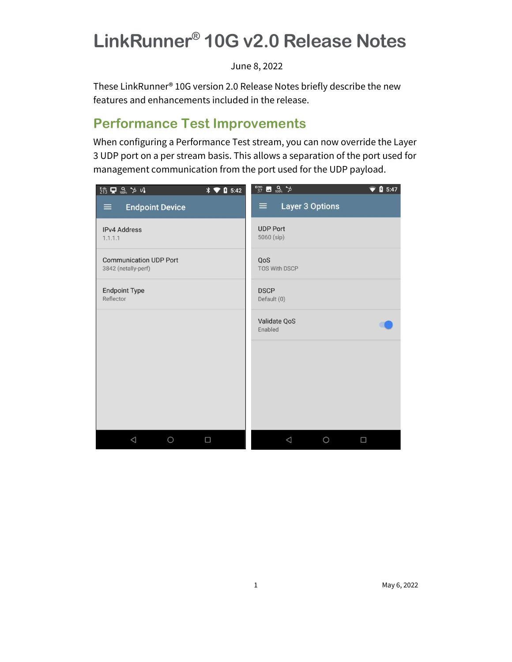# LinkRunner® 10G v2.0 Release Notes

June 8, 2022

These LinkRunner® 10G version 2.0 Release Notes briefly describe the new features and enhancements included in the release.

## Performance Test Improvements

When configuring a Performance Test stream, you can now override the Layer 3 UDP port on a per stream basis. This allows a separation of the port used for management communication from the port used for the UDP payload.